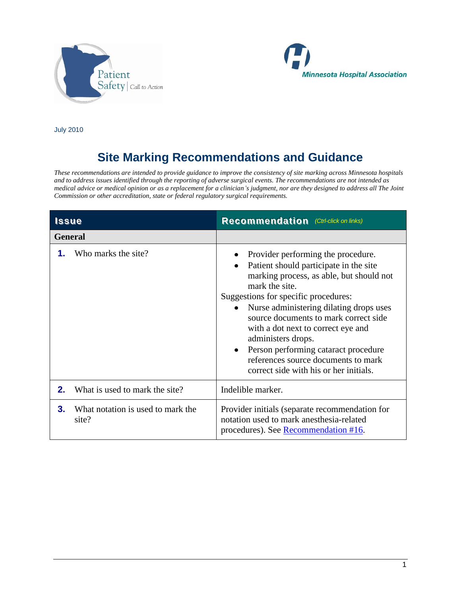



July 2010

## **Site Marking Recommendations and Guidance**

*These recommendations are intended to provide guidance to improve the consistency of site marking across Minnesota hospitals and to address issues identified through the reporting of adverse surgical events. The recommendations are not intended as medical advice or medical opinion or as a replacement for a clinician's judgment, nor are they designed to address all The Joint Commission or other accreditation, state or federal regulatory surgical requirements.*

| <b>Issue</b> |                                            | <b>Recommendation</b> (Ctrl-click on links)                                                                                                                                                                                                                                                                                                                                                                                                                 |
|--------------|--------------------------------------------|-------------------------------------------------------------------------------------------------------------------------------------------------------------------------------------------------------------------------------------------------------------------------------------------------------------------------------------------------------------------------------------------------------------------------------------------------------------|
|              | <b>General</b>                             |                                                                                                                                                                                                                                                                                                                                                                                                                                                             |
| 1.           | Who marks the site?                        | Provider performing the procedure.<br>Patient should participate in the site<br>marking process, as able, but should not<br>mark the site.<br>Suggestions for specific procedures:<br>Nurse administering dilating drops uses<br>source documents to mark correct side<br>with a dot next to correct eye and<br>administers drops.<br>Person performing cataract procedure<br>references source documents to mark<br>correct side with his or her initials. |
| 2.           | What is used to mark the site?             | Indelible marker.                                                                                                                                                                                                                                                                                                                                                                                                                                           |
| 3.           | What notation is used to mark the<br>site? | Provider initials (separate recommendation for<br>notation used to mark anesthesia-related<br>procedures). See Recommendation #16.                                                                                                                                                                                                                                                                                                                          |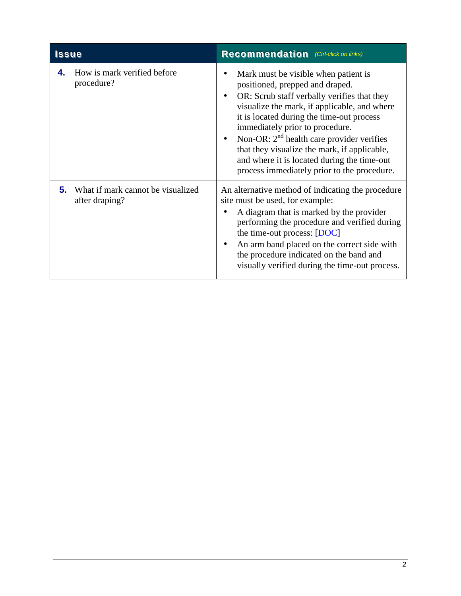<span id="page-1-0"></span>

|    | Issue                                               | <b>Recommendation</b> (Ctrl-click on links)                                                                                                                                                                                                                                                                                                                                                                                                            |
|----|-----------------------------------------------------|--------------------------------------------------------------------------------------------------------------------------------------------------------------------------------------------------------------------------------------------------------------------------------------------------------------------------------------------------------------------------------------------------------------------------------------------------------|
| 4. | How is mark verified before<br>procedure?           | Mark must be visible when patient is<br>positioned, prepped and draped.<br>OR: Scrub staff verbally verifies that they<br>visualize the mark, if applicable, and where<br>it is located during the time-out process<br>immediately prior to procedure.<br>Non-OR: $2^{nd}$ health care provider verifies<br>that they visualize the mark, if applicable,<br>and where it is located during the time-out<br>process immediately prior to the procedure. |
| 5. | What if mark cannot be visualized<br>after draping? | An alternative method of indicating the procedure<br>site must be used, for example:<br>A diagram that is marked by the provider<br>performing the procedure and verified during<br>the time-out process: $[$ DOC $]$<br>An arm band placed on the correct side with<br>the procedure indicated on the band and<br>visually verified during the time-out process.                                                                                      |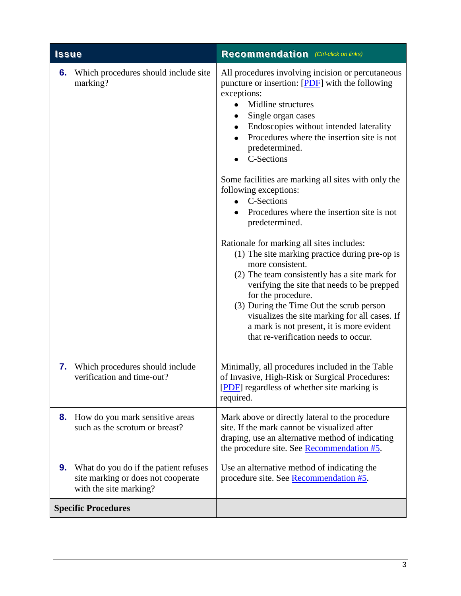<span id="page-2-0"></span>

| <b>Issue</b>                                                                                                | <b>Recommendation</b> (Ctrl-click on links)                                                                                                                                                                                                                                                                                                                                                                                                                                                                                                                                                                                                                                                                                                                                                                                                                                                                 |
|-------------------------------------------------------------------------------------------------------------|-------------------------------------------------------------------------------------------------------------------------------------------------------------------------------------------------------------------------------------------------------------------------------------------------------------------------------------------------------------------------------------------------------------------------------------------------------------------------------------------------------------------------------------------------------------------------------------------------------------------------------------------------------------------------------------------------------------------------------------------------------------------------------------------------------------------------------------------------------------------------------------------------------------|
| Which procedures should include site<br>6.<br>marking?                                                      | All procedures involving incision or percutaneous<br>puncture or insertion: [PDF] with the following<br>exceptions:<br>Midline structures<br>Single organ cases<br>Endoscopies without intended laterality<br>Procedures where the insertion site is not<br>$\bullet$<br>predetermined.<br>C-Sections<br>Some facilities are marking all sites with only the<br>following exceptions:<br>C-Sections<br>$\bullet$<br>Procedures where the insertion site is not<br>predetermined.<br>Rationale for marking all sites includes:<br>(1) The site marking practice during pre-op is<br>more consistent.<br>(2) The team consistently has a site mark for<br>verifying the site that needs to be prepped<br>for the procedure.<br>(3) During the Time Out the scrub person<br>visualizes the site marking for all cases. If<br>a mark is not present, it is more evident<br>that re-verification needs to occur. |
| <b>7.</b> Which procedures should include<br>verification and time-out?                                     | Minimally, all procedures included in the Table<br>of Invasive, High-Risk or Surgical Procedures:<br>[PDF] regardless of whether site marking is<br>required.                                                                                                                                                                                                                                                                                                                                                                                                                                                                                                                                                                                                                                                                                                                                               |
| How do you mark sensitive areas<br>8.<br>such as the scrotum or breast?                                     | Mark above or directly lateral to the procedure<br>site. If the mark cannot be visualized after<br>draping, use an alternative method of indicating<br>the procedure site. See Recommendation #5.                                                                                                                                                                                                                                                                                                                                                                                                                                                                                                                                                                                                                                                                                                           |
| What do you do if the patient refuses<br>9.<br>site marking or does not cooperate<br>with the site marking? | Use an alternative method of indicating the<br>procedure site. See <b>Recommendation #5</b> .                                                                                                                                                                                                                                                                                                                                                                                                                                                                                                                                                                                                                                                                                                                                                                                                               |
| <b>Specific Procedures</b>                                                                                  |                                                                                                                                                                                                                                                                                                                                                                                                                                                                                                                                                                                                                                                                                                                                                                                                                                                                                                             |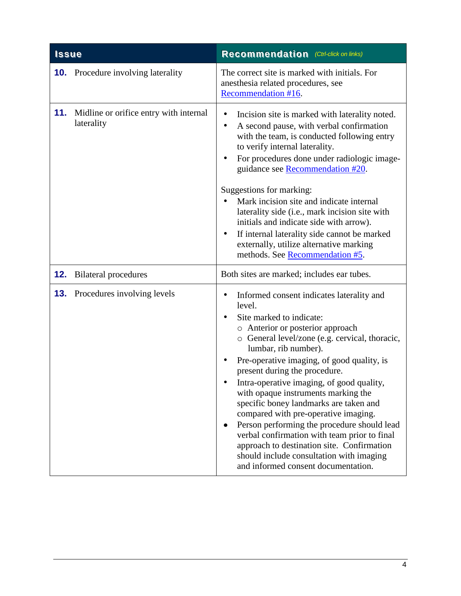<span id="page-3-0"></span>

| <b>Issue</b> |                                                      | <b>Recommendation</b> (Ctrl-click on links)                                                                                                                                                                                                                                                                                                                                                                                                                                                                                                                                                                                                                                                          |
|--------------|------------------------------------------------------|------------------------------------------------------------------------------------------------------------------------------------------------------------------------------------------------------------------------------------------------------------------------------------------------------------------------------------------------------------------------------------------------------------------------------------------------------------------------------------------------------------------------------------------------------------------------------------------------------------------------------------------------------------------------------------------------------|
|              | <b>10.</b> Procedure involving laterality            | The correct site is marked with initials. For<br>anesthesia related procedures, see<br>Recommendation #16.                                                                                                                                                                                                                                                                                                                                                                                                                                                                                                                                                                                           |
| 11.          | Midline or orifice entry with internal<br>laterality | Incision site is marked with laterality noted.<br>٠<br>A second pause, with verbal confirmation<br>$\bullet$<br>with the team, is conducted following entry<br>to verify internal laterality.<br>For procedures done under radiologic image-<br>$\bullet$<br>guidance see Recommendation #20.<br>Suggestions for marking:<br>Mark incision site and indicate internal<br>laterality side (i.e., mark incision site with<br>initials and indicate side with arrow).<br>If internal laterality side cannot be marked<br>$\bullet$<br>externally, utilize alternative marking<br>methods. See Recommendation #5.                                                                                        |
| 12.          | <b>Bilateral procedures</b>                          | Both sites are marked; includes ear tubes.                                                                                                                                                                                                                                                                                                                                                                                                                                                                                                                                                                                                                                                           |
| 13.          | Procedures involving levels                          | Informed consent indicates laterality and<br>٠<br>level.<br>Site marked to indicate:<br>$\bullet$<br>o Anterior or posterior approach<br>o General level/zone (e.g. cervical, thoracic,<br>lumbar, rib number).<br>Pre-operative imaging, of good quality, is<br>present during the procedure.<br>Intra-operative imaging, of good quality,<br>with opaque instruments marking the<br>specific boney landmarks are taken and<br>compared with pre-operative imaging.<br>Person performing the procedure should lead<br>verbal confirmation with team prior to final<br>approach to destination site. Confirmation<br>should include consultation with imaging<br>and informed consent documentation. |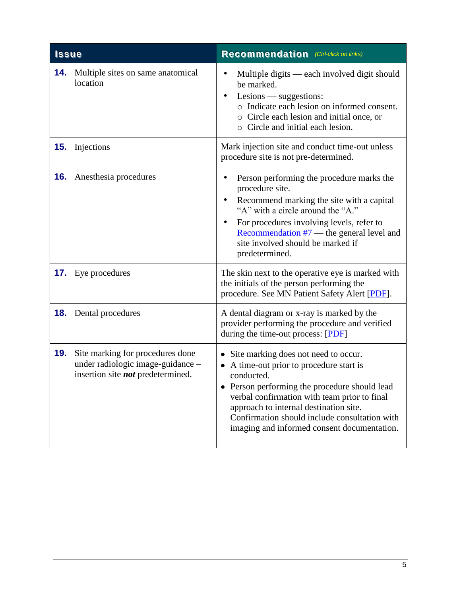<span id="page-4-0"></span>

| <b>Issue</b> |                                                                                                                   | <b>Recommendation</b> (Ctrl-click on links)                                                                                                                                                                                                                                                                                             |
|--------------|-------------------------------------------------------------------------------------------------------------------|-----------------------------------------------------------------------------------------------------------------------------------------------------------------------------------------------------------------------------------------------------------------------------------------------------------------------------------------|
| 14.          | Multiple sites on same anatomical<br>location                                                                     | Multiple digits — each involved digit should<br>be marked.<br>Lesions — suggestions:<br>o Indicate each lesion on informed consent.<br>o Circle each lesion and initial once, or<br>o Circle and initial each lesion.                                                                                                                   |
| 15.          | Injections                                                                                                        | Mark injection site and conduct time-out unless<br>procedure site is not pre-determined.                                                                                                                                                                                                                                                |
| 16.          | Anesthesia procedures                                                                                             | Person performing the procedure marks the<br>procedure site.<br>Recommend marking the site with a capital<br>"A" with a circle around the "A."<br>For procedures involving levels, refer to<br>Recommendation $#7$ — the general level and<br>site involved should be marked if<br>predetermined.                                       |
|              | <b>17.</b> Eye procedures                                                                                         | The skin next to the operative eye is marked with<br>the initials of the person performing the<br>procedure. See MN Patient Safety Alert [PDF].                                                                                                                                                                                         |
|              | <b>18.</b> Dental procedures                                                                                      | A dental diagram or x-ray is marked by the<br>provider performing the procedure and verified<br>during the time-out process: [PDF]                                                                                                                                                                                                      |
| 19.          | Site marking for procedures done<br>under radiologic image-guidance -<br>insertion site <i>not</i> predetermined. | • Site marking does not need to occur.<br>A time-out prior to procedure start is<br>conducted.<br>Person performing the procedure should lead<br>verbal confirmation with team prior to final<br>approach to internal destination site.<br>Confirmation should include consultation with<br>imaging and informed consent documentation. |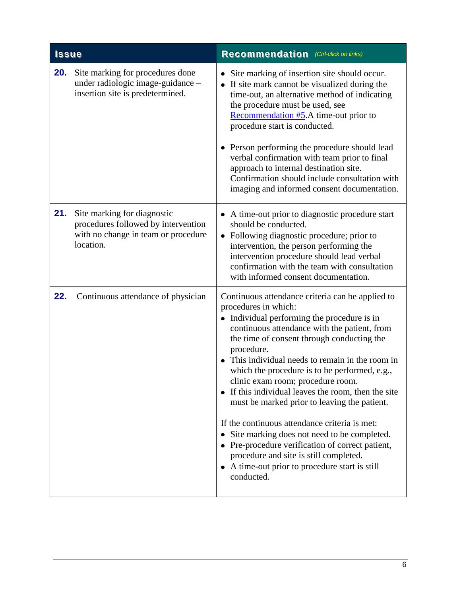<span id="page-5-1"></span><span id="page-5-0"></span>

| <b>Issue</b> |                                                                                                                        | <b>Recommendation</b> (Ctrl-click on links)                                                                                                                                                                                                                                                                                                                                                                                                                                                                                                                                                                                                                                                                                                           |
|--------------|------------------------------------------------------------------------------------------------------------------------|-------------------------------------------------------------------------------------------------------------------------------------------------------------------------------------------------------------------------------------------------------------------------------------------------------------------------------------------------------------------------------------------------------------------------------------------------------------------------------------------------------------------------------------------------------------------------------------------------------------------------------------------------------------------------------------------------------------------------------------------------------|
| 20.          | Site marking for procedures done<br>under radiologic image-guidance -<br>insertion site is predetermined.              | • Site marking of insertion site should occur.<br>• If site mark cannot be visualized during the<br>time-out, an alternative method of indicating<br>the procedure must be used, see<br>Recommendation #5.A time-out prior to<br>procedure start is conducted.<br>• Person performing the procedure should lead<br>verbal confirmation with team prior to final<br>approach to internal destination site.<br>Confirmation should include consultation with<br>imaging and informed consent documentation.                                                                                                                                                                                                                                             |
| 21.          | Site marking for diagnostic<br>procedures followed by intervention<br>with no change in team or procedure<br>location. | A time-out prior to diagnostic procedure start<br>$\bullet$<br>should be conducted.<br>• Following diagnostic procedure; prior to<br>intervention, the person performing the<br>intervention procedure should lead verbal<br>confirmation with the team with consultation<br>with informed consent documentation.                                                                                                                                                                                                                                                                                                                                                                                                                                     |
| 22.          | Continuous attendance of physician                                                                                     | Continuous attendance criteria can be applied to<br>procedures in which:<br>• Individual performing the procedure is in<br>continuous attendance with the patient, from<br>the time of consent through conducting the<br>procedure.<br>This individual needs to remain in the room in<br>which the procedure is to be performed, e.g.,<br>clinic exam room; procedure room.<br>• If this individual leaves the room, then the site<br>must be marked prior to leaving the patient.<br>If the continuous attendance criteria is met:<br>Site marking does not need to be completed.<br>٠<br>• Pre-procedure verification of correct patient,<br>procedure and site is still completed.<br>• A time-out prior to procedure start is still<br>conducted. |